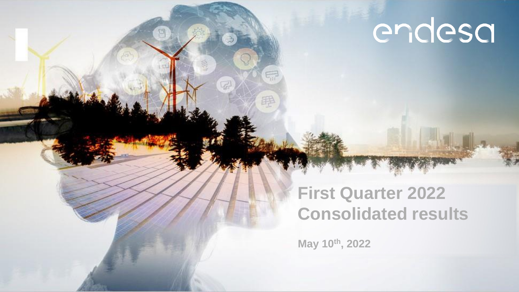# endesa

### **First Quarter 2022 Consolidated results**

**May 10th, 2022**

罪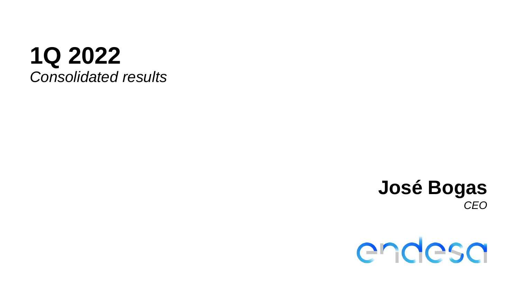## **1Q 2022** *Consolidated results*

### **José Bogas** *CEO*

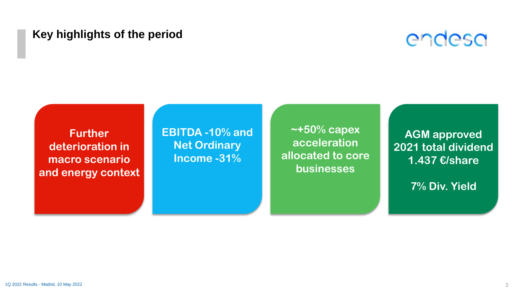#### **Key highlights of the period**



**Further deterioration in macro scenario and energy context** **EBITDA -10% and Net Ordinary Income -31%**

**~+50% capex acceleration allocated to core businesses**

**AGM approved 2021 total dividend 1.437 €/share**

**7% Div. Yield**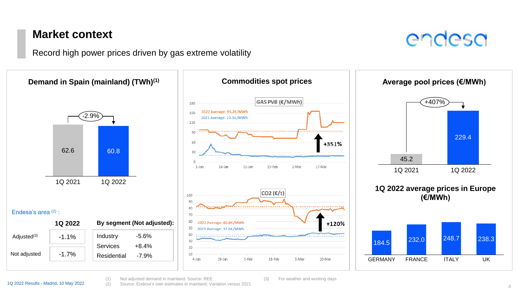#### **Market context**

Record high power prices driven by gas extreme volatility



(1) Not adjusted demand in mainland. Source: REE (2) Source: Endesa's own estimates in mainland. Variation versus 2021 endesa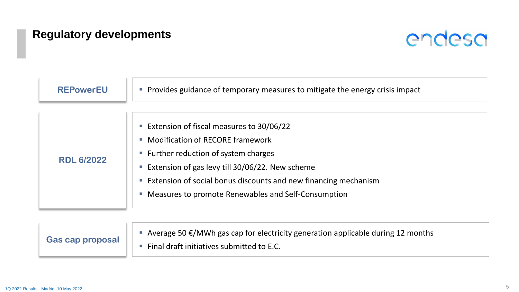### **Regulatory developments**



| <b>REPowerEU</b>  | • Provides guidance of temporary measures to mitigate the energy crisis impact                                                                                                                                                                                                                           |
|-------------------|----------------------------------------------------------------------------------------------------------------------------------------------------------------------------------------------------------------------------------------------------------------------------------------------------------|
| <b>RDL 6/2022</b> | Extension of fiscal measures to 30/06/22<br>• Modification of RECORE framework<br>■ Further reduction of system charges<br>■ Extension of gas levy till 30/06/22. New scheme<br>Extension of social bonus discounts and new financing mechanism<br>• Measures to promote Renewables and Self-Consumption |

| <b>Gas cap proposal</b> | Average 50 $\epsilon$ /MWh gas cap for electricity generation applicable during 12 months |
|-------------------------|-------------------------------------------------------------------------------------------|
|                         | Final draft initiatives submitted to E.C.                                                 |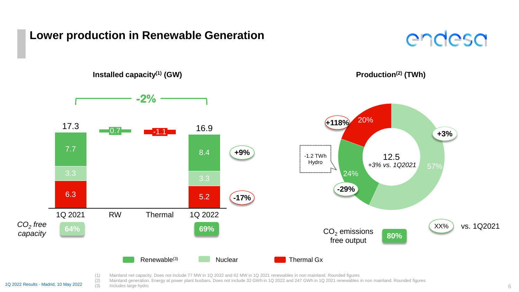#### **Lower production in Renewable Generation**



**Installed capacity(1) (GW)**





(1) Mainland net capacity. Does not include 77 MW in 1Q 2022 and 62 MW in 1Q 2021 renewables in non mainland. Rounded figures

(2) Mainland generation. Energy at power plant busbars. Does not include 32 GWh in 1Q 2022 and 247 GWh in 1Q 2021 renewables in non mainland. Rounded figures

 $\overline{1Q}$  2022 Results - Madrid, 10 May 2022  $\overline{(3)}$  Includes large hydro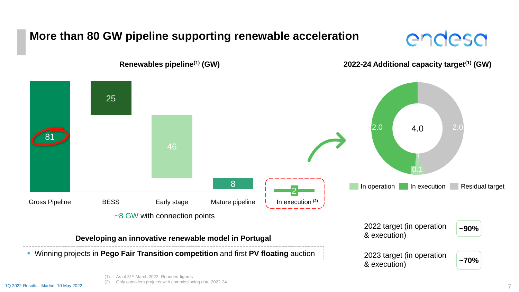### **More than 80 GW pipeline supporting renewable acceleration**

# endesa



**Renewables pipeline(1) (GW)**



(1) As of 31st March 2022. Rounded figures (2) Only considers projects with commissioning date 2022-24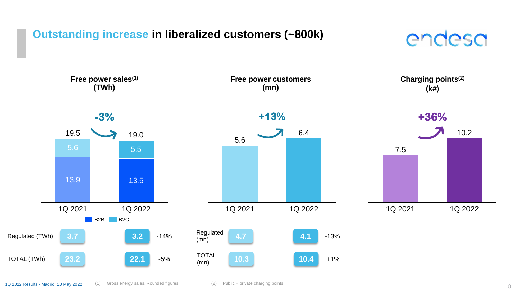#### **Outstanding increase in liberalized customers (~800k)**

## endesa

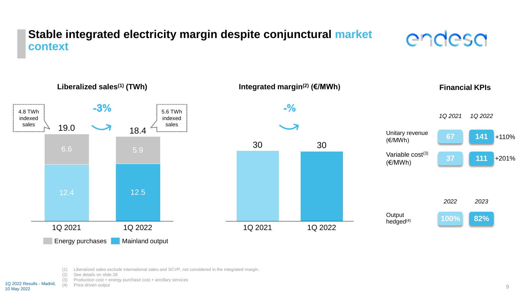#### **Stable integrated electricity margin despite conjunctural market context**





(1) Liberalized sales exclude international sales and SCVP, not considered in the integrated margin.

(2) See details on slide 28

(3) Production cost + energy purchase cost + ancillary services

(4) Price driven output 1Q 2022 Results - Madrid,

10 May 2022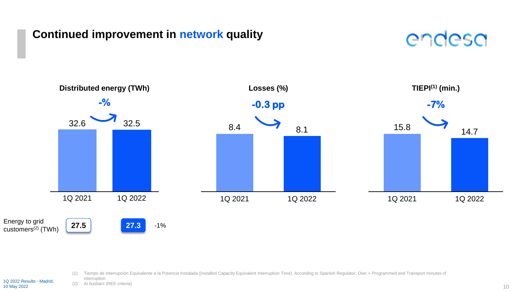#### **Continued improvement in network quality**





- (1) Tiempo de Interrupción Equivalente a la Potencia Instalada (Installed Capacity Equivalent Interruption Time). According to Spanish Regulator. Own + Programmed and Transport minutes of
- interruption (2) At busbars (REE criteria) 1Q 2022 Results - Madrid,

10 May 2022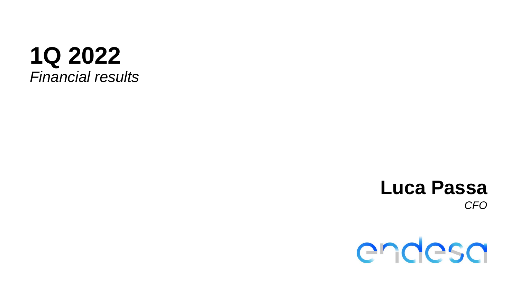

### **Luca Passa** *CFO*

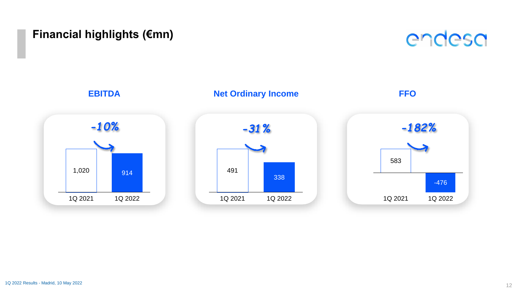#### **Financial highlights (€mn)**



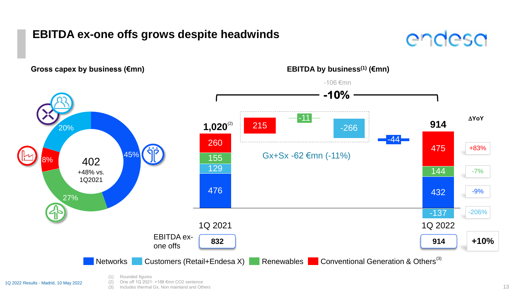#### **EBITDA ex-one offs grows despite headwinds**





1Q 2022 Results - Madrid, 10 May 2022

(2) One off 1Q 2021: +188 €mn CO2 sentence (3) Includes thermal Gx, Non mainland and Others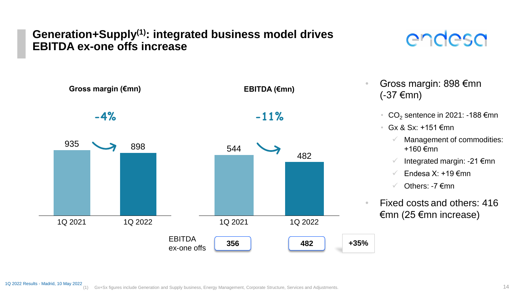#### **Generation+Supply(1): integrated business model drives EBITDA ex-one offs increase**

# endesa



- Gross margin: 898 €mn (-37 €mn)
	- CO<sub>2</sub> sentence in 2021: -188  $\epsilon$ mn
	- Gx & Sx:  $+151$   $\epsilon$ mn
		- Management of commodities: +160 €mn
		- Integrated margin: -21 €mn
		- $\checkmark$  Endesa X: +19  $\epsilon$ mn
		- $\checkmark$  Others: -7  $\epsilon$ mn
- Fixed costs and others: 416 €mn (25 €mn increase)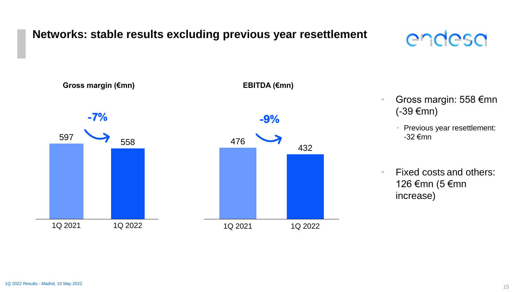#### **Networks: stable results excluding previous year resettlement**

## endesa



• Gross margin: 558 €mn (-39 €mn)

• Previous year resettlement: -32 €mn

• Fixed costs and others: 126 €mn (5 €mn increase)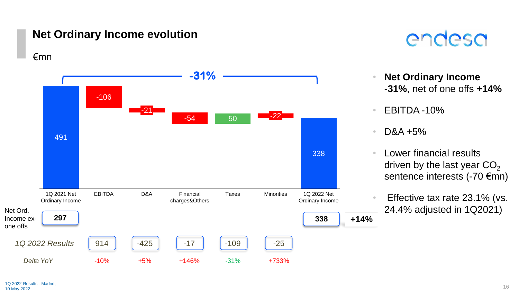#### **Net Ordinary Income evolution**

€mn





- **Net Ordinary Income -31%**, net of one offs **+14%**
- EBITDA -10%
- D&A +5%
- Lower financial results driven by the last year  $CO<sub>2</sub>$ sentence interests (-70 €mn)
- Effective tax rate 23.1% (vs. 24.4% adjusted in 1Q2021)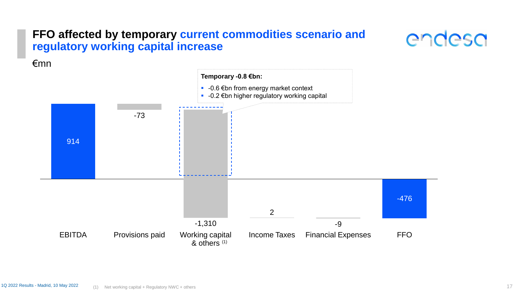#### **FFO affected by temporary current commodities scenario and regulatory working capital increase**



€mn

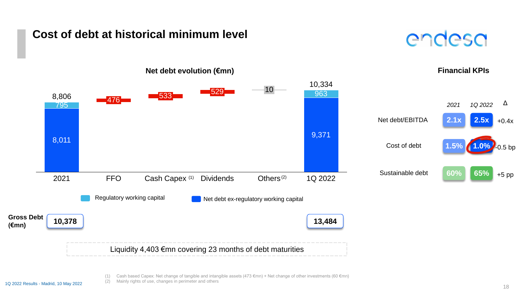#### **Cost of debt at historical minimum level**





(1) Cash based Capex: Net change of tangible and intangible assets (473  $\epsilon$ mn) + Net change of other investments (60  $\epsilon$ mn)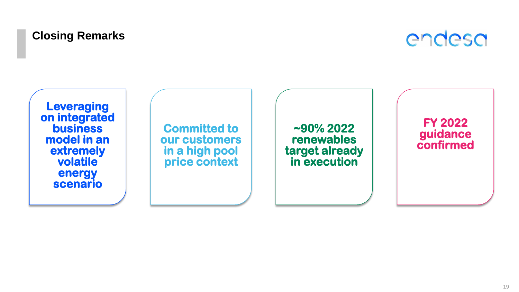### **Closing Remarks**



**Leveraging on integrated business model in an extremely volatile energy scenario**

**Committed to our customers in a high pool price context**

**~90% 2022 renewables target already in execution**

**FY 2022 guidance confirmed**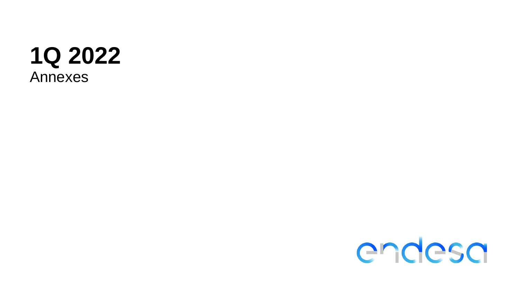

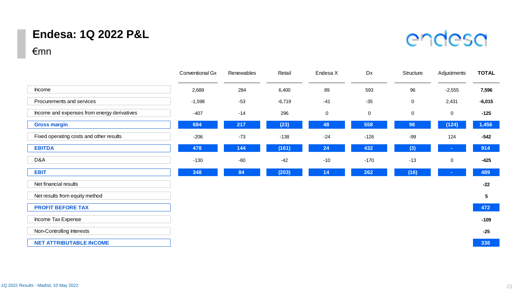#### **Endesa: 1Q 2022 P&L**

#### €mn

| <b>Endesa: 1Q 2022 P&amp;L</b><br>€mn       |                 |            |          |             |             |           | endesa      |                 |
|---------------------------------------------|-----------------|------------|----------|-------------|-------------|-----------|-------------|-----------------|
|                                             | Conventional Gx | Renewables | Retail   | Endesa X    | Dx          | Structure | Adjustments | <b>TOTAL</b>    |
| Income                                      | 2,689           | 284        | 6,400    | 89          | 593         | 96        | $-2,555$    | 7,596           |
| Procurements and services                   | $-1,598$        | $-53$      | $-6,719$ | $-41$       | $-35$       | 0         | 2,431       | $-6,015$        |
| Income and expenses from energy derivatives | $-407$          | $-14$      | 296      | $\mathbf 0$ | $\mathbf 0$ | 0         | $\mathbf 0$ | $-125$          |
| <b>Gross margin</b>                         | 684             | 217        | (23)     | 48          | 558         | 96        | (124)       | 1,456           |
| Fixed operating costs and other results     | $-206$          | $-73$      | $-138$   | $-24$       | $-126$      | -99       | 124         | $-542$          |
| <b>EBITDA</b>                               | 478             | 144        | (161)    | 24          | 432         | (3)       |             | 914             |
| D&A                                         | $-130$          | $-60$      | $-42$    | $-10$       | $-170$      | $-13$     | $\mathbf 0$ | $-425$          |
| <b>EBIT</b>                                 | 348             | 84         | (203)    | 14          | 262         | (16)      |             | 489             |
| Net financial results                       |                 |            |          |             |             |           |             | $-22$           |
| Net results from equity method              |                 |            |          |             |             |           |             | $5\phantom{.0}$ |
| <b>PROFIT BEFORE TAX</b>                    |                 |            |          |             |             |           |             | 472             |
| Income Tax Expense                          |                 |            |          |             |             |           |             | $-109$          |
| Non-Controlling Interests                   |                 |            |          |             |             |           |             | $-25$           |
| <b>NET ATTRIBUTABLE INCOME</b>              |                 |            |          |             |             |           |             | 338             |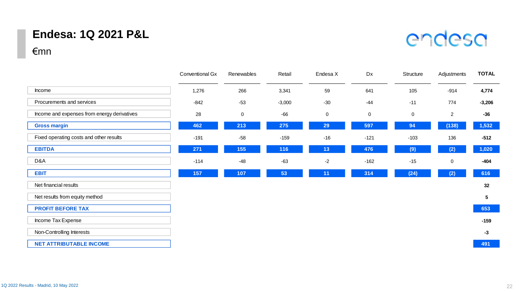#### **Endesa: 1Q 2021 P&L**

# endesa

#### €mn

|                                             | Conventional Gx | Renewables | Retail   | Endesa X    | Dx          | Structure | Adjustments    | <b>TOTAL</b>    |
|---------------------------------------------|-----------------|------------|----------|-------------|-------------|-----------|----------------|-----------------|
| Income                                      | 1,276           | 266        | 3,341    | 59          | 641         | 105       | $-914$         | 4,774           |
| Procurements and services                   | $-842$          | $-53$      | $-3,000$ | $-30$       | $-44$       | $-11$     | 774            | $-3,206$        |
| Income and expenses from energy derivatives | 28              | $\pmb{0}$  | $-66$    | $\mathbf 0$ | $\mathbf 0$ | 0         | $\overline{2}$ | $-36$           |
| <b>Gross margin</b>                         | 462             | 213        | 275      | 29          | 597         | 94        | (138)          | 1,532           |
| Fixed operating costs and other results     | $-191$          | $-58$      | $-159$   | $-16$       | $-121$      | $-103$    | 136            | $-512$          |
| <b>EBITDA</b>                               | 271             | 155        | 116      | 13          | 476         | (9)       | (2)            | 1,020           |
| D&A                                         | $-114$          | $-48$      | $-63$    | $-2$        | $-162$      | $-15$     | 0              | $-404$          |
| <b>EBIT</b>                                 | 157             | 107        | 53       | 11          | 314         | (24)      | (2)            | 616             |
| Net financial results                       |                 |            |          |             |             |           |                | 32              |
| Net results from equity method              |                 |            |          |             |             |           |                | $5\phantom{.0}$ |
| <b>PROFIT BEFORE TAX</b>                    |                 |            |          |             |             |           |                | 653             |
| Income Tax Expense                          |                 |            |          |             |             |           |                | $-159$          |
| Non-Controlling Interests                   |                 |            |          |             |             |           |                | $-3$            |
| <b>NET ATTRIBUTABLE INCOME</b>              |                 |            |          |             |             |           |                | 491             |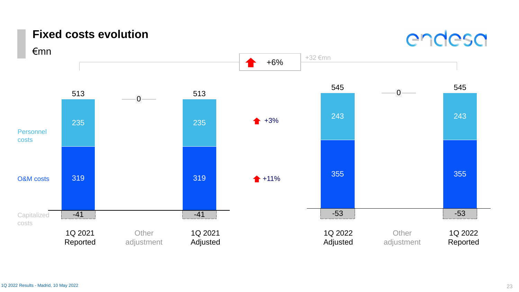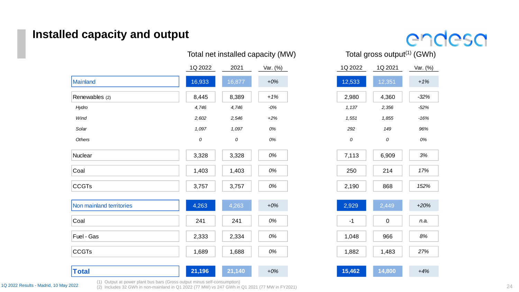#### **Installed capacity and output**

|                          |         | lotal net installed capacity (MW) |          |         | lotal gross output(1) (GWh |          |  |
|--------------------------|---------|-----------------------------------|----------|---------|----------------------------|----------|--|
|                          | 1Q 2022 | 2021                              | Var. (%) | 1Q 2022 | 1Q 2021                    | Var. (%) |  |
| Mainland                 | 16,933  | 16,877                            | $+0%$    | 12,533  | 12,351                     | $+1%$    |  |
| Renewables (2)           | 8,445   | 8,389                             | $+1%$    | 2,980   | 4,360                      | $-32%$   |  |
| Hydro                    | 4,746   | 4,746                             | $-0%$    | 1,137   | 2,356                      | $-52%$   |  |
| Wind                     | 2,602   | 2,546                             | $+2%$    | 1,551   | 1,855                      | $-16%$   |  |
| Solar                    | 1,097   | 1,097                             | 0%       | 292     | 149                        | 96%      |  |
| Others                   | 0       | 0                                 | $0\%$    | 0       | 0                          | 0%       |  |
| Nuclear                  | 3,328   | 3,328                             | 0%       | 7,113   | 6,909                      | 3%       |  |
| Coal                     | 1,403   | 1,403                             | 0%       | 250     | 214                        | 17%      |  |
| <b>CCGTs</b>             | 3,757   | 3,757                             | 0%       | 2,190   | 868                        | 152%     |  |
| Non mainland territories | 4,263   | 4,263                             | $+0%$    | 2,929   | 2,449                      | $+20%$   |  |
| Coal                     | 241     | 241                               | 0%       | $-1$    | $\mathbf 0$                | n.a.     |  |
| Fuel - Gas               | 2,333   | 2,334                             | 0%       | 1,048   | 966                        | 8%       |  |
| <b>CCGTs</b>             | 1,689   | 1,688                             | 0%       | 1,882   | 1,483                      | 27%      |  |
| <b>Total</b>             | 21,196  | 21,140                            | $+0%$    | 15,462  | 14,800                     | $+4%$    |  |

endesa

nstalled capacity (MW) Total gross output<sup>(1)</sup> (GWh)

| 1Q 2022 | 1Q 2021 | Var. (%) |
|---------|---------|----------|
| 12,533  | 12,351  | $+1%$    |
| 2,980   | 4,360   | $-32%$   |
| 1,137   | 2,356   | $-52%$   |
| 1,551   | 1,855   | $-16%$   |
| 292     | 149     | 96%      |
| 0       | 0       | 0%       |
| 7,113   | 6,909   | 3%       |
| 250     | 214     | 17%      |
| 2,190   | 868     | 152%     |
| 2,929   | 2,449   | $+20%$   |
| -1      | 0       | n.a.     |
| 1,048   | 966     | 8%       |

(1) Output at power plant bus bars (Gross output minus self-consumption)

1Q 2022 Results - Madrid, 10 May 2022 (2) Includes 32 GWh in non-mainland in Q1 2022 (77 MW) vs 247 GWh in Q1 2021 (77 MW in FY2021)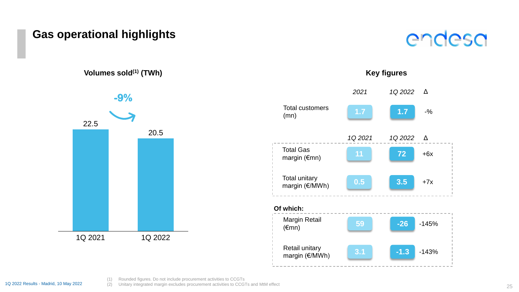#### **Gas operational highlights**

**Volumes sold(1) (TWh)**



#### **Key figures** Margin Retail (€mn) **59 -26** -145% *2021 1Q 2022* Δ Total customers (mn) **1.7 1.7** -% Total unitary margin (€/MWh) **0.5 3.5** +7x Retail unitary margin (€/MWh) **3.1 -1.3** -143% Total Gas margin (€mn) **11 72** +6x *1Q 2021 1Q 2022* Δ **Of which:**

endesa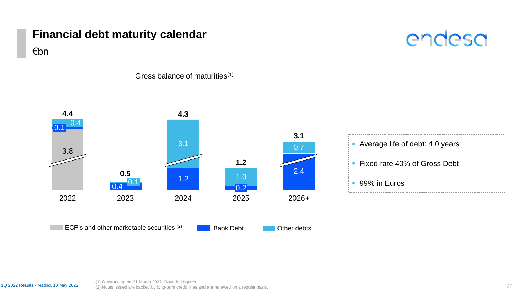#### **Financial debt maturity calendar**

# endesa



Gross balance of maturities(1)



€bn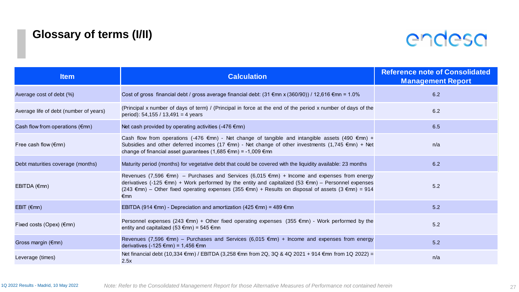### **Glossary of terms (I/II)**



| <b>Item</b>                            | <b>Calculation</b>                                                                                                                                                                                                                                                                                                        | <b>Reference note of Consolidated</b><br><b>Management Report</b> |
|----------------------------------------|---------------------------------------------------------------------------------------------------------------------------------------------------------------------------------------------------------------------------------------------------------------------------------------------------------------------------|-------------------------------------------------------------------|
| Average cost of debt (%)               | Cost of gross financial debt / gross average financial debt: $(31 \text{ \textsterling m} \times (360/90))$ / 12,616 $\text{\emling m}$ = 1.0%                                                                                                                                                                            | 6.2                                                               |
| Average life of debt (number of years) | (Principal x number of days of term) / (Principal in force at the end of the period x number of days of the<br>period): 54,155 / 13,491 = 4 years                                                                                                                                                                         | 6.2                                                               |
| Cash flow from operations (€mn)        | Net cash provided by operating activities (-476 €mn)                                                                                                                                                                                                                                                                      | 6.5                                                               |
| Free cash flow $(\epsilon$ mn)         | Cash flow from operations (-476 €mn) - Net change of tangible and intangible assets (490 €mn) +<br>Subsidies and other deferred incomes (17 €mn) - Net change of other investments (1,745 €mn) + Net<br>change of financial asset guarantees (1,685 €mn) = -1,009 €mn                                                     | n/a                                                               |
| Debt maturities coverage (months)      | Maturity period (months) for vegetative debt that could be covered with the liquidity available: 23 months                                                                                                                                                                                                                | 6.2                                                               |
| $EBITDA$ ( $\varepsilon$ mn)           | Revenues (7,596 €mn) – Purchases and Services (6,015 €mn) + Income and expenses from energy<br>derivatives (-125 €mn) + Work performed by the entity and capitalized (53 €mn) – Personnel expenses<br>(243 €mn) – Other fixed operating expenses (355 €mn) + Results on disposal of assets (3 €mn) = 914<br>$\epsilon$ mn | 5.2                                                               |
| EBIT $(\epsilon$ mn)                   | EBITDA (914 €mn) - Depreciation and amortization (425 €mn) = 489 €mn                                                                                                                                                                                                                                                      | 5.2                                                               |
| Fixed costs (Opex) (€mn)               | Personnel expenses (243 €mn) + Other fixed operating expenses (355 €mn) - Work performed by the<br>entity and capitalized (53 $\epsilon$ mn) = 545 $\epsilon$ mn                                                                                                                                                          | 5.2                                                               |
| Gross margin (€mn)                     | Revenues (7,596 €mn) – Purchases and Services (6,015 €mn) + Income and expenses from energy<br>derivatives (-125 €mn) = 1,456 €mn                                                                                                                                                                                         | 5.2                                                               |
| Leverage (times)                       | Net financial debt (10,334 €mn) / EBITDA (3,258 €mn from 2Q, 3Q & 4Q 2021 + 914 €mn from 1Q 2022) =<br>2.5x                                                                                                                                                                                                               | n/a                                                               |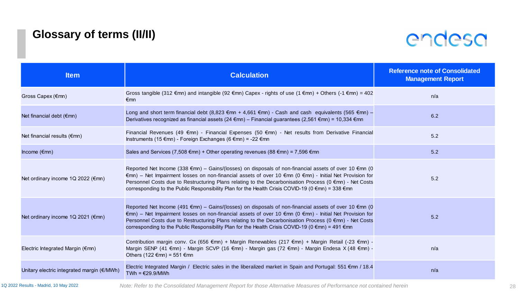### **Glossary of terms (II/II)**



| <b>Item</b>                                | <b>Calculation</b>                                                                                                                                                                                                                                                                                                                                                                                                             | <b>Reference note of Consolidated</b><br><b>Management Report</b> |
|--------------------------------------------|--------------------------------------------------------------------------------------------------------------------------------------------------------------------------------------------------------------------------------------------------------------------------------------------------------------------------------------------------------------------------------------------------------------------------------|-------------------------------------------------------------------|
| Gross Capex (€mn)                          | Gross tangible (312 €mn) and intangible (92 €mn) Capex - rights of use (1 €mn) + Others (-1 €mn) = 402<br>$\epsilon$ mn                                                                                                                                                                                                                                                                                                        | n/a                                                               |
| Net financial debt $(\epsilon m)$          | Long and short term financial debt (8,823 €mn + 4,661 €mn) - Cash and cash equivalents (565 €mn) –<br>Derivatives recognized as financial assets (24 €mn) – Financial guarantees (2,561 €mn) = 10,334 €mn                                                                                                                                                                                                                      | 6.2                                                               |
| Net financial results (€mn)                | Financial Revenues (49 $\epsilon$ mn) - Financial Expenses (50 $\epsilon$ mn) - Net results from Derivative Financial<br>Instruments (15 €mn) - Foreign Exchanges (6 €mn) = -22 €mn                                                                                                                                                                                                                                            | 5.2                                                               |
| Income $(\epsilon$ mn)                     | Sales and Services (7,508 €mn) + Other operating revenues (88 €mn) = 7,596 €mn                                                                                                                                                                                                                                                                                                                                                 | 5.2                                                               |
| Net ordinary income 1Q 2022 (€mn)          | Reported Net Income (338 €mn) – Gains/(losses) on disposals of non-financial assets of over 10 €mn (0<br>€mn) – Net Impairment losses on non-financial assets of over 10 €mn (0 €mn) - Initial Net Provision for<br>Personnel Costs due to Restructuring Plans relating to the Decarbonisation Process (0 €mn) - Net Costs<br>corresponding to the Public Responsibility Plan for the Health Crisis COVID-19 (0 €mn) = 338 €mn | 5.2                                                               |
| Net ordinary income 1Q 2021 (€mn)          | Reported Net Income (491 €mn) - Gains/(losses) on disposals of non-financial assets of over 10 €mn (0<br>€mn) – Net Impairment losses on non-financial assets of over 10 €mn (0 €mn) - Initial Net Provision for<br>Personnel Costs due to Restructuring Plans relating to the Decarbonisation Process (0 €mn) - Net Costs<br>corresponding to the Public Responsibility Plan for the Health Crisis COVID-19 (0 €mn) = 491 €mn | 5.2                                                               |
| Electric Integrated Margin (€mn)           | Contribution margin conv. Gx (656 €mn) + Margin Renewables (217 €mn) + Margin Retail (-23 €mn) -<br>Margin SENP (41 €mn) - Margin SCVP (16 €mn) - Margin gas (72 €mn) - Margin Endesa X (48 €mn) -<br>Others (122 €mn) = 551 €mn                                                                                                                                                                                               | n/a                                                               |
| Unitary electric integrated margin (€/MWh) | Electric Integrated Margin / Electric sales in the liberalized market in Spain and Portugal: 551 €mn / 18.4<br>TWh = $€29.9/MWh$                                                                                                                                                                                                                                                                                               | n/a                                                               |

1Q 2022 Results - Madrid, 10 May 2022 *Note: Refer to the Consolidated Management Report for those Alternative Measures of Performance not contained herein*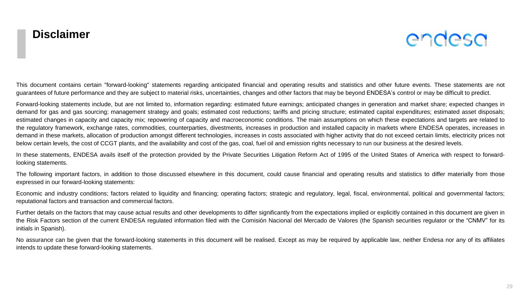

This document contains certain "forward-looking" statements regarding anticipated financial and operating results and statistics and other future events. These statements are not guarantees of future performance and they are subject to material risks, uncertainties, changes and other factors that may be beyond ENDESA's control or may be difficult to predict.

Forward-looking statements include, but are not limited to, information regarding: estimated future earnings; anticipated changes in generation and market share; expected changes in demand for gas and gas sourcing; management strategy and goals; estimated cost reductions; tariffs and pricing structure; estimated capital expenditures; estimated asset disposals; estimated changes in capacity and capacity mix; repowering of capacity and macroeconomic conditions. The main assumptions on which these expectations and targets are related to the regulatory framework, exchange rates, commodities, counterparties, divestments, increases in production and installed capacity in markets where ENDESA operates, increases in demand in these markets, allocation of production amongst different technologies, increases in costs associated with higher activity that do not exceed certain limits, electricity prices not below certain levels, the cost of CCGT plants, and the availability and cost of the gas, coal, fuel oil and emission rights necessary to run our business at the desired levels.

In these statements, ENDESA avails itself of the protection provided by the Private Securities Litigation Reform Act of 1995 of the United States of America with respect to forwardlooking statements.

The following important factors, in addition to those discussed elsewhere in this document, could cause financial and operating results and statistics to differ materially from those expressed in our forward-looking statements:

Economic and industry conditions; factors related to liquidity and financing; operating factors; strategic and regulatory, legal, fiscal, environmental, political and governmental factors; reputational factors and transaction and commercial factors.

Further details on the factors that may cause actual results and other developments to differ significantly from the expectations implied or explicitly contained in this document are given in the Risk Factors section of the current ENDESA regulated information filed with the Comisión Nacional del Mercado de Valores (the Spanish securities regulator or the "CNMV" for its initials in Spanish).

No assurance can be given that the forward-looking statements in this document will be realised. Except as may be required by applicable law, neither Endesa nor any of its affiliates intends to update these forward-looking statements.